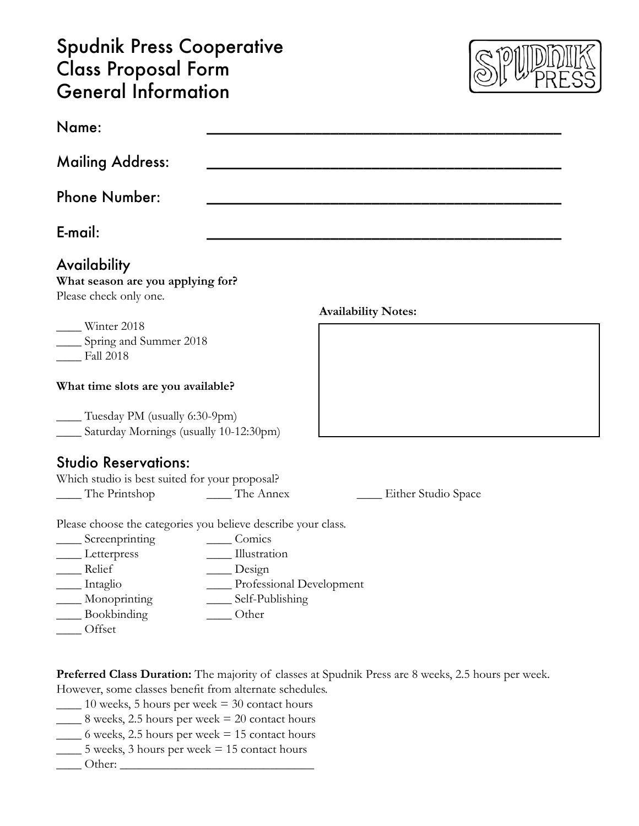### Spudnik Press Cooperative Class Proposal Form General Information



| Name:                                                                        |                          |                            |  |  |
|------------------------------------------------------------------------------|--------------------------|----------------------------|--|--|
| <b>Mailing Address:</b>                                                      |                          |                            |  |  |
| <b>Phone Number:</b>                                                         |                          |                            |  |  |
| E-mail:                                                                      |                          |                            |  |  |
| Availability<br>What season are you applying for?<br>Please check only one.  |                          |                            |  |  |
|                                                                              |                          | <b>Availability Notes:</b> |  |  |
| Winter 2018                                                                  |                          |                            |  |  |
| ____ Spring and Summer 2018                                                  |                          |                            |  |  |
| $\frac{\text{Fall }2018}{}$                                                  |                          |                            |  |  |
| What time slots are you available?                                           |                          |                            |  |  |
| Tuesday PM (usually 6:30-9pm)<br>____ Saturday Mornings (usually 10-12:30pm) |                          |                            |  |  |
| <b>Studio Reservations:</b>                                                  |                          |                            |  |  |
| Which studio is best suited for your proposal?                               |                          |                            |  |  |
| The Printshop The Annex                                                      |                          | Either Studio Space        |  |  |
| Please choose the categories you believe describe your class.                |                          |                            |  |  |
| $\sum$ Screenprinting                                                        | Comics                   |                            |  |  |
| $L$ etterpress                                                               | Illustration             |                            |  |  |
| __ Relief                                                                    | Design                   |                            |  |  |
| Intaglio                                                                     | Professional Development |                            |  |  |
| Monoprinting                                                                 | Self-Publishing          |                            |  |  |
| Bookbinding                                                                  | Other                    |                            |  |  |
| Offset                                                                       |                          |                            |  |  |
|                                                                              |                          |                            |  |  |

**Preferred Class Duration:** The majority of classes at Spudnik Press are 8 weeks, 2.5 hours per week. However, some classes benefit from alternate schedules.

 $\_\_$ 10 weeks, 5 hours per week = 30 contact hours

 $\frac{1}{2}$  8 weeks, 2.5 hours per week = 20 contact hours

 $\_\_\_\$ 6 weeks, 2.5 hours per week = 15 contact hours

- $\frac{1}{2}$  5 weeks, 3 hours per week = 15 contact hours
- $\Box$  Other:  $\Box$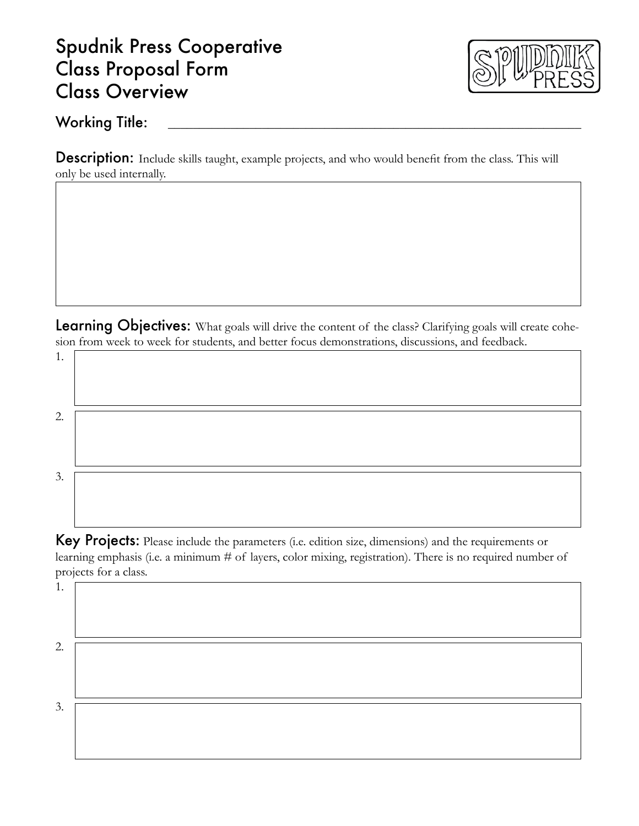### Spudnik Press Cooperative Class Proposal Form Class Overview



#### Working Title: \_\_\_\_\_\_\_\_\_\_\_\_\_\_\_\_\_\_\_\_\_\_\_\_\_\_\_\_\_\_\_\_\_\_\_\_\_\_\_\_\_\_\_\_\_\_\_\_\_\_\_\_\_\_\_\_\_\_\_\_\_\_\_\_\_\_

Description: Include skills taught, example projects, and who would benefit from the class. This will only be used internally.

Learning Objectives: What goals will drive the content of the class? Clarifying goals will create cohesion from week to week for students, and better focus demonstrations, discussions, and feedback.

1. 2. 3.

Key Projects: Please include the parameters (i.e. edition size, dimensions) and the requirements or learning emphasis (i.e. a minimum # of layers, color mixing, registration). There is no required number of projects for a class.

1.

2.

3.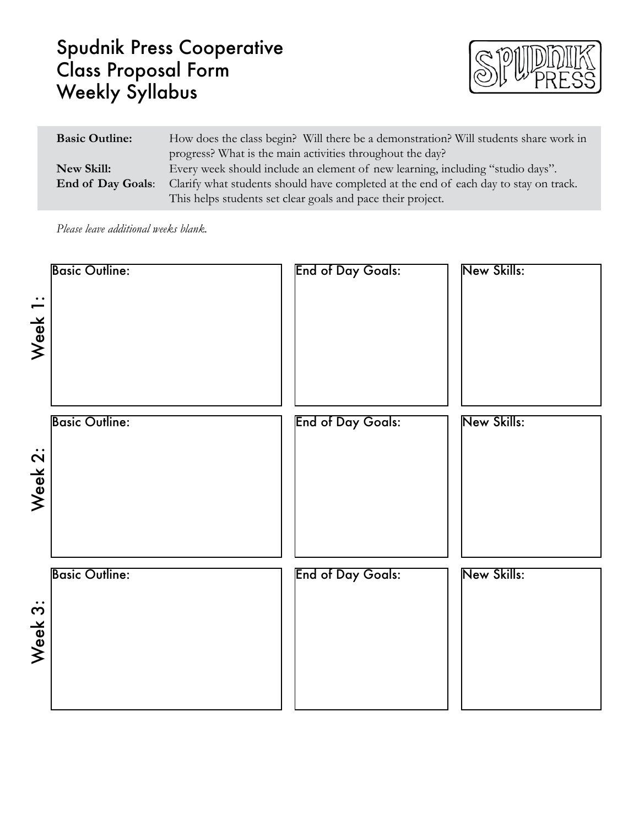# Spudnik Press Cooperative Class Proposal Form Weekly Syllabus



| <b>Basic Outline:</b>    | How does the class begin? Will there be a demonstration? Will students share work in |  |  |
|--------------------------|--------------------------------------------------------------------------------------|--|--|
|                          | progress? What is the main activities throughout the day?                            |  |  |
| New Skill:               | Every week should include an element of new learning, including "studio days".       |  |  |
| <b>End of Day Goals:</b> | Clarify what students should have completed at the end of each day to stay on track. |  |  |
|                          | This helps students set clear goals and pace their project.                          |  |  |

*Please leave additional weeks blank.*

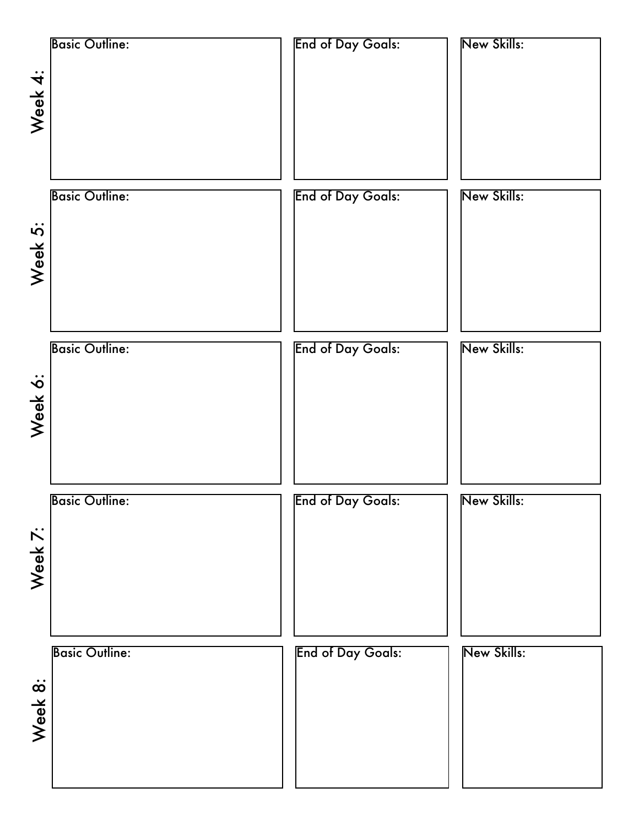